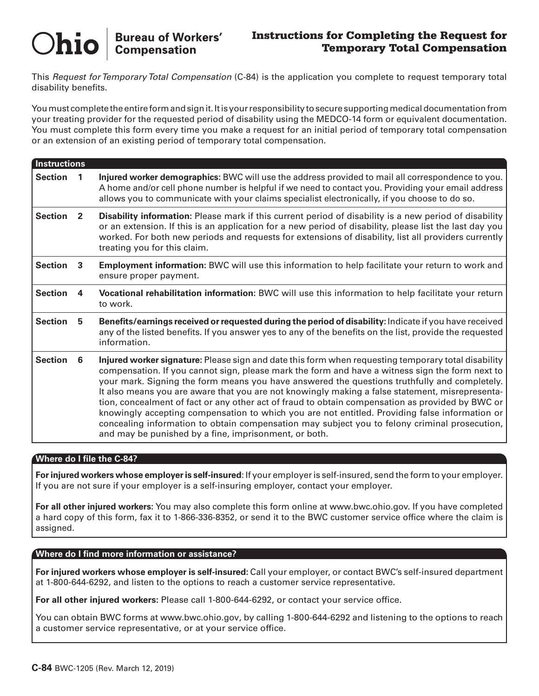# **Bureau of Workers'<br>Compensation Chio**

### Instructions for Completing the Request for Temporary Total Compensation

This *Request for Temporary Total Compensation* (C-84) is the application you complete to request temporary total disability benefits.

You must complete the entire form and sign it. It is your responsibility to secure supporting medical documentation from your treating provider for the requested period of disability using the MEDCO-14 form or equivalent documentation. You must complete this form every time you make a request for an initial period of temporary total compensation or an extension of an existing period of temporary total compensation.

| <b>Instructions</b> |                |                                                                                                                                                                                                                                                                                                                                                                                                                                                                                                                                                                                                                                                                                                                                                                           |  |  |  |  |
|---------------------|----------------|---------------------------------------------------------------------------------------------------------------------------------------------------------------------------------------------------------------------------------------------------------------------------------------------------------------------------------------------------------------------------------------------------------------------------------------------------------------------------------------------------------------------------------------------------------------------------------------------------------------------------------------------------------------------------------------------------------------------------------------------------------------------------|--|--|--|--|
| <b>Section</b>      |                | Injured worker demographics: BWC will use the address provided to mail all correspondence to you.<br>A home and/or cell phone number is helpful if we need to contact you. Providing your email address<br>allows you to communicate with your claims specialist electronically, if you choose to do so.                                                                                                                                                                                                                                                                                                                                                                                                                                                                  |  |  |  |  |
| <b>Section</b>      | $\overline{2}$ | Disability information: Please mark if this current period of disability is a new period of disability<br>or an extension. If this is an application for a new period of disability, please list the last day you<br>worked. For both new periods and requests for extensions of disability, list all providers currently<br>treating you for this claim.                                                                                                                                                                                                                                                                                                                                                                                                                 |  |  |  |  |
| <b>Section</b>      | 3              | <b>Employment information:</b> BWC will use this information to help facilitate your return to work and<br>ensure proper payment.                                                                                                                                                                                                                                                                                                                                                                                                                                                                                                                                                                                                                                         |  |  |  |  |
| <b>Section</b>      | 4              | Vocational rehabilitation information: BWC will use this information to help facilitate your return<br>to work.                                                                                                                                                                                                                                                                                                                                                                                                                                                                                                                                                                                                                                                           |  |  |  |  |
| <b>Section</b>      | 5              | Benefits/earnings received or requested during the period of disability: Indicate if you have received<br>any of the listed benefits. If you answer yes to any of the benefits on the list, provide the requested<br>information.                                                                                                                                                                                                                                                                                                                                                                                                                                                                                                                                         |  |  |  |  |
| <b>Section</b>      | 6              | Injured worker signature: Please sign and date this form when requesting temporary total disability<br>compensation. If you cannot sign, please mark the form and have a witness sign the form next to<br>your mark. Signing the form means you have answered the questions truthfully and completely.<br>It also means you are aware that you are not knowingly making a false statement, misrepresenta-<br>tion, concealment of fact or any other act of fraud to obtain compensation as provided by BWC or<br>knowingly accepting compensation to which you are not entitled. Providing false information or<br>concealing information to obtain compensation may subject you to felony criminal prosecution,<br>and may be punished by a fine, imprisonment, or both. |  |  |  |  |

### **Where do I file the C-84?**

**For injured workers whose employer is self-insured**: If your employer is self-insured, send the form to your employer. If you are not sure if your employer is a self-insuring employer, contact your employer.

**For all other injured workers:** You may also complete this form online at www.bwc.ohio.gov. If you have completed a hard copy of this form, fax it to 1-866-336-8352, or send it to the BWC customer service office where the claim is assigned.

### **Where do I find more information or assistance?**

**For injured workers whose employer is self-insured:** Call your employer, or contact BWC's self-insured department at 1-800-644-6292, and listen to the options to reach a customer service representative.

**For all other injured workers:** Please call 1-800-644-6292, or contact your service office.

You can obtain BWC forms at www.bwc.ohio.gov, by calling 1-800-644-6292 and listening to the options to reach a customer service representative, or at your service office.